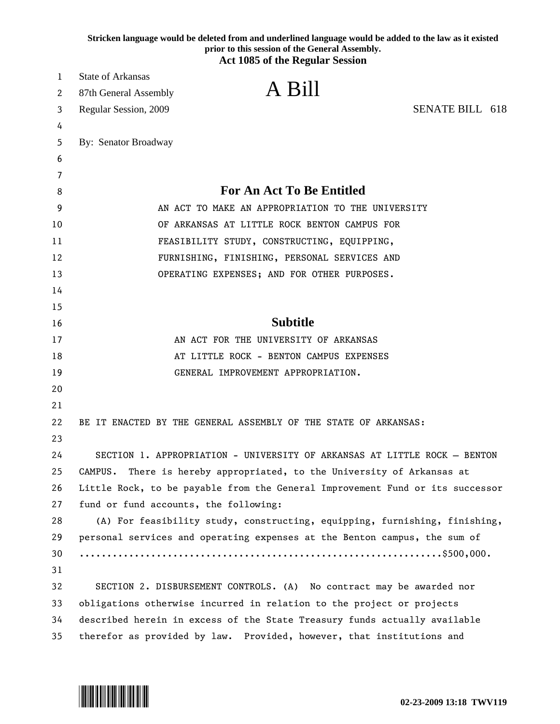|          | Stricken language would be deleted from and underlined language would be added to the law as it existed<br>prior to this session of the General Assembly.<br><b>Act 1085 of the Regular Session</b> |
|----------|-----------------------------------------------------------------------------------------------------------------------------------------------------------------------------------------------------|
| 1        | <b>State of Arkansas</b>                                                                                                                                                                            |
| 2        | A Bill<br>87th General Assembly                                                                                                                                                                     |
| 3        | SENATE BILL 618<br>Regular Session, 2009                                                                                                                                                            |
| 4        |                                                                                                                                                                                                     |
| 5        | By: Senator Broadway                                                                                                                                                                                |
| 6        |                                                                                                                                                                                                     |
| 7        |                                                                                                                                                                                                     |
| 8        | <b>For An Act To Be Entitled</b>                                                                                                                                                                    |
| 9        | AN ACT TO MAKE AN APPROPRIATION TO THE UNIVERSITY                                                                                                                                                   |
| 10       | OF ARKANSAS AT LITTLE ROCK BENTON CAMPUS FOR                                                                                                                                                        |
| 11       | FEASIBILITY STUDY, CONSTRUCTING, EQUIPPING,                                                                                                                                                         |
| 12       | FURNISHING, FINISHING, PERSONAL SERVICES AND                                                                                                                                                        |
| 13       | OPERATING EXPENSES; AND FOR OTHER PURPOSES.                                                                                                                                                         |
| 14       |                                                                                                                                                                                                     |
| 15       |                                                                                                                                                                                                     |
| 16       | <b>Subtitle</b>                                                                                                                                                                                     |
| 17       | AN ACT FOR THE UNIVERSITY OF ARKANSAS                                                                                                                                                               |
| 18       | AT LITTLE ROCK - BENTON CAMPUS EXPENSES                                                                                                                                                             |
| 19       | GENERAL IMPROVEMENT APPROPRIATION.                                                                                                                                                                  |
| 20       |                                                                                                                                                                                                     |
| 21       |                                                                                                                                                                                                     |
| 22       | BE IT ENACTED BY THE GENERAL ASSEMBLY OF THE STATE OF ARKANSAS:                                                                                                                                     |
| 23       |                                                                                                                                                                                                     |
| 24       | SECTION 1. APPROPRIATION - UNIVERSITY OF ARKANSAS AT LITTLE ROCK - BENTON                                                                                                                           |
| 25       | CAMPUS. There is hereby appropriated, to the University of Arkansas at                                                                                                                              |
| 26       | Little Rock, to be payable from the General Improvement Fund or its successor                                                                                                                       |
| 27       | fund or fund accounts, the following:                                                                                                                                                               |
| 28       | (A) For feasibility study, constructing, equipping, furnishing, finishing,                                                                                                                          |
| 29       | personal services and operating expenses at the Benton campus, the sum of                                                                                                                           |
| 30<br>31 |                                                                                                                                                                                                     |
| 32       | SECTION 2. DISBURSEMENT CONTROLS. (A) No contract may be awarded nor                                                                                                                                |
| 33       | obligations otherwise incurred in relation to the project or projects                                                                                                                               |
| 34       | described herein in excess of the State Treasury funds actually available                                                                                                                           |
| 35       | therefor as provided by law. Provided, however, that institutions and                                                                                                                               |